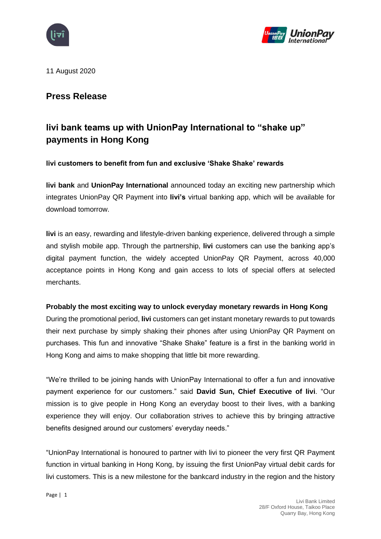



11 August 2020

# **Press Release**

# **livi bank teams up with UnionPay International to "shake up" payments in Hong Kong**

#### **livi customers to benefit from fun and exclusive 'Shake Shake' rewards**

**livi bank** and **UnionPay International** announced today an exciting new partnership which integrates UnionPay QR Payment into **livi's** virtual banking app, which will be available for download tomorrow.

**livi** is an easy, rewarding and lifestyle-driven banking experience, delivered through a simple and stylish mobile app. Through the partnership, **livi** customers can use the banking app's digital payment function, the widely accepted UnionPay QR Payment, across 40,000 acceptance points in Hong Kong and gain access to lots of special offers at selected merchants.

#### **Probably the most exciting way to unlock everyday monetary rewards in Hong Kong**

During the promotional period, **livi** customers can get instant monetary rewards to put towards their next purchase by simply shaking their phones after using UnionPay QR Payment on purchases. This fun and innovative "Shake Shake" feature is a first in the banking world in Hong Kong and aims to make shopping that little bit more rewarding.

"We're thrilled to be joining hands with UnionPay International to offer a fun and innovative payment experience for our customers." said **David Sun, Chief Executive of livi**. "Our mission is to give people in Hong Kong an everyday boost to their lives, with a banking experience they will enjoy. Our collaboration strives to achieve this by bringing attractive benefits designed around our customers' everyday needs."

"UnionPay International is honoured to partner with livi to pioneer the very first QR Payment function in virtual banking in Hong Kong, by issuing the first UnionPay virtual debit cards for livi customers. This is a new milestone for the bankcard industry in the region and the history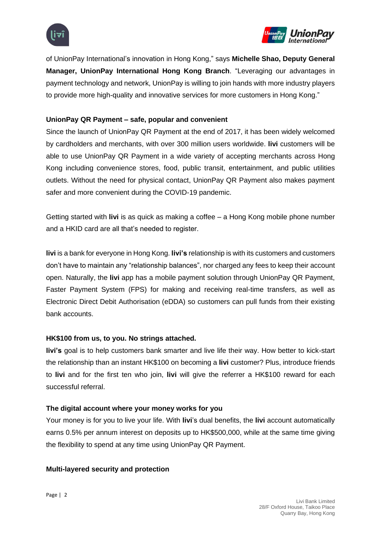



of UnionPay International's innovation in Hong Kong," says **Michelle Shao, Deputy General Manager, UnionPay International Hong Kong Branch**. "Leveraging our advantages in payment technology and network, UnionPay is willing to join hands with more industry players to provide more high-quality and innovative services for more customers in Hong Kong."

### **UnionPay QR Payment – safe, popular and convenient**

Since the launch of UnionPay QR Payment at the end of 2017, it has been widely welcomed by cardholders and merchants, with over 300 million users worldwide. **livi** customers will be able to use UnionPay QR Payment in a wide variety of accepting merchants across Hong Kong including convenience stores, food, public transit, entertainment, and public utilities outlets. Without the need for physical contact, UnionPay QR Payment also makes payment safer and more convenient during the COVID-19 pandemic.

Getting started with **livi** is as quick as making a coffee – a Hong Kong mobile phone number and a HKID card are all that's needed to register.

**livi** is a bank for everyone in Hong Kong. **livi's** relationship is with its customers and customers don't have to maintain any "relationship balances", nor charged any fees to keep their account open. Naturally, the **livi** app has a mobile payment solution through UnionPay QR Payment, Faster Payment System (FPS) for making and receiving real-time transfers, as well as Electronic Direct Debit Authorisation (eDDA) so customers can pull funds from their existing bank accounts.

#### **HK\$100 from us, to you. No strings attached.**

**livi's** goal is to help customers bank smarter and live life their way. How better to kick-start the relationship than an instant HK\$100 on becoming a **livi** customer? Plus, introduce friends to **livi** and for the first ten who join, **livi** will give the referrer a HK\$100 reward for each successful referral.

#### **The digital account where your money works for you**

Your money is for you to live your life. With **livi**'s dual benefits, the **livi** account automatically earns 0.5% per annum interest on deposits up to HK\$500,000, while at the same time giving the flexibility to spend at any time using UnionPay QR Payment.

#### **Multi-layered security and protection**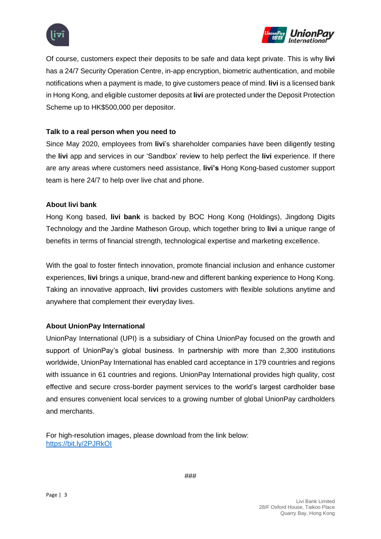



Of course, customers expect their deposits to be safe and data kept private. This is why **livi** has a 24/7 Security Operation Centre, in-app encryption, biometric authentication, and mobile notifications when a payment is made, to give customers peace of mind. **livi** is a licensed bank in Hong Kong, and eligible customer deposits at **livi** are protected under the Deposit Protection Scheme up to HK\$500,000 per depositor.

#### **Talk to a real person when you need to**

Since May 2020, employees from **livi**'s shareholder companies have been diligently testing the **livi** app and services in our 'Sandbox' review to help perfect the **livi** experience. If there are any areas where customers need assistance, **livi's** Hong Kong-based customer support team is here 24/7 to help over live chat and phone.

#### **About livi bank**

Hong Kong based, **livi bank** is backed by BOC Hong Kong (Holdings), Jingdong Digits Technology and the Jardine Matheson Group, which together bring to **livi** a unique range of benefits in terms of financial strength, technological expertise and marketing excellence.

With the goal to foster fintech innovation, promote financial inclusion and enhance customer experiences, **livi** brings a unique, brand-new and different banking experience to Hong Kong. Taking an innovative approach, **livi** provides customers with flexible solutions anytime and anywhere that complement their everyday lives.

## **About UnionPay International**

UnionPay International (UPI) is a subsidiary of China UnionPay focused on the growth and support of UnionPay's global business. In partnership with more than 2,300 institutions worldwide, UnionPay International has enabled card acceptance in 179 countries and regions with issuance in 61 countries and regions. UnionPay International provides high quality, cost effective and secure cross-border payment services to the world's largest cardholder base and ensures convenient local services to a growing number of global UnionPay cardholders and merchants.

For high-resolution images, please download from the link below: <https://bit.ly/2PJRkOI>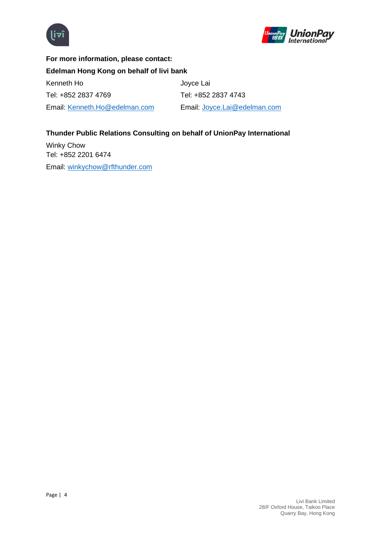



**For more information, please contact: Edelman Hong Kong on behalf of livi bank** Kenneth Ho Joyce Lai Tel: +852 2837 4769 Tel: +852 2837 4743 Email: [Kenneth.Ho@edelman.com](mailto:Kenneth.Ho@edelman.com) Email: [Joyce.Lai@edelman.com](mailto:Joyce.Lai@edelman.com)

# **Thunder Public Relations Consulting on behalf of UnionPay International**

Winky Chow Tel: +852 2201 6474 Email: [winkychow@rfthunder.com](mailto:winkychow@rfthunder.com)